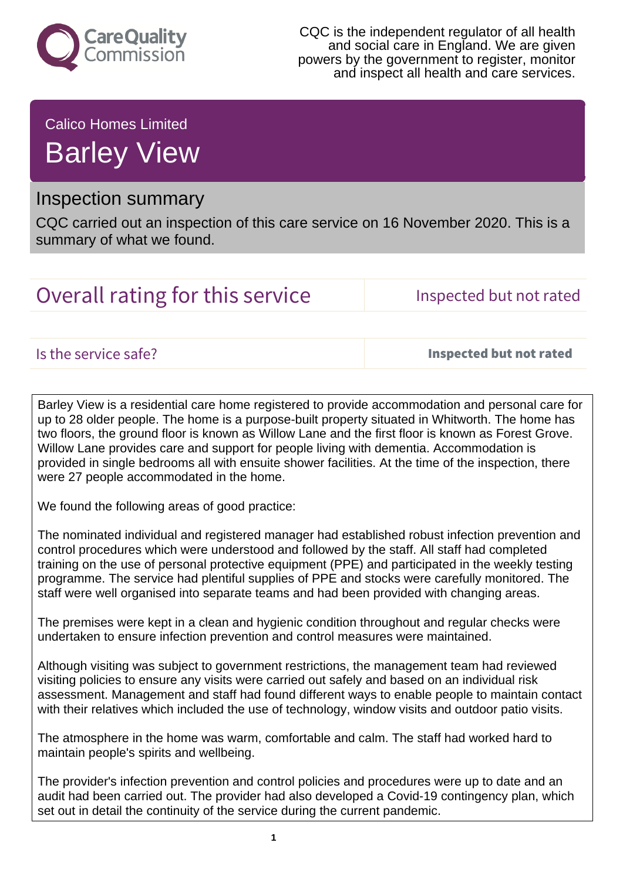

CQC is the independent regulator of all health and social care in England. We are given powers by the government to register, monitor and inspect all health and care services.

Calico Homes Limited Barley View

## Inspection summary

CQC carried out an inspection of this care service on 16 November 2020. This is a summary of what we found.

# Overall rating for this service **Inspected but not rated**

Is the service safe? Inspected but not rated

Barley View is a residential care home registered to provide accommodation and personal care for up to 28 older people. The home is a purpose-built property situated in Whitworth. The home has two floors, the ground floor is known as Willow Lane and the first floor is known as Forest Grove. Willow Lane provides care and support for people living with dementia. Accommodation is provided in single bedrooms all with ensuite shower facilities. At the time of the inspection, there were 27 people accommodated in the home.

We found the following areas of good practice:

The nominated individual and registered manager had established robust infection prevention and control procedures which were understood and followed by the staff. All staff had completed training on the use of personal protective equipment (PPE) and participated in the weekly testing programme. The service had plentiful supplies of PPE and stocks were carefully monitored. The staff were well organised into separate teams and had been provided with changing areas.

The premises were kept in a clean and hygienic condition throughout and regular checks were undertaken to ensure infection prevention and control measures were maintained.

Although visiting was subject to government restrictions, the management team had reviewed visiting policies to ensure any visits were carried out safely and based on an individual risk assessment. Management and staff had found different ways to enable people to maintain contact with their relatives which included the use of technology, window visits and outdoor patio visits.

The atmosphere in the home was warm, comfortable and calm. The staff had worked hard to maintain people's spirits and wellbeing.

The provider's infection prevention and control policies and procedures were up to date and an audit had been carried out. The provider had also developed a Covid-19 contingency plan, which set out in detail the continuity of the service during the current pandemic.